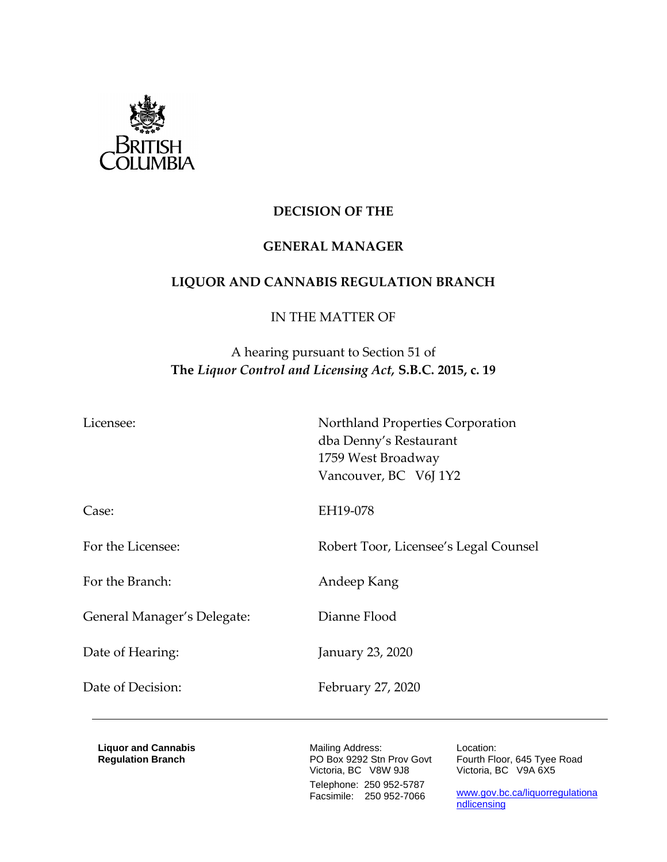

# **DECISION OF THE**

### **GENERAL MANAGER**

### **LIQUOR AND CANNABIS REGULATION BRANCH**

### IN THE MATTER OF

# A hearing pursuant to Section 51 of **The** *Liquor Control and Licensing Act,* **S.B.C. 2015, c. 19**

Licensee: Northland Properties Corporation dba Denny's Restaurant 1759 West Broadway Vancouver, BC V6J 1Y2

Case: EH19-078

For the Branch: Andeep Kang

General Manager's Delegate: Dianne Flood

Date of Hearing: January 23, 2020

For the Licensee: Robert Toor, Licensee's Legal Counsel

Date of Decision: February 27, 2020

**Liquor and Cannabis Regulation Branch**

Mailing Address: PO Box 9292 Stn Prov Govt Victoria, BC V8W 9J8 Telephone: 250 952-5787 Facsimile: 250 952-7066

Location: Fourth Floor, 645 Tyee Road Victoria, BC V9A 6X5

[www.gov.bc.ca/liquorregulationa](http://www.gov.bc.ca/liquorregulationandlicensing) [ndlicensing](http://www.gov.bc.ca/liquorregulationandlicensing)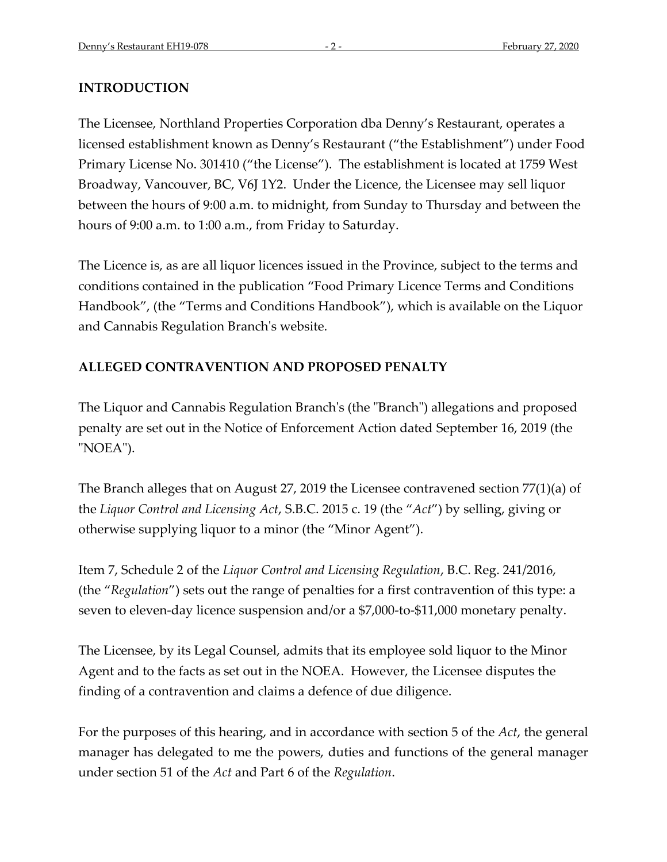#### **INTRODUCTION**

The Licensee, Northland Properties Corporation dba Denny's Restaurant, operates a licensed establishment known as Denny's Restaurant ("the Establishment") under Food Primary License No. 301410 ("the License"). The establishment is located at 1759 West Broadway, Vancouver, BC, V6J 1Y2. Under the Licence, the Licensee may sell liquor between the hours of 9:00 a.m. to midnight, from Sunday to Thursday and between the hours of 9:00 a.m. to 1:00 a.m., from Friday to Saturday.

The Licence is, as are all liquor licences issued in the Province, subject to the terms and conditions contained in the publication "Food Primary Licence Terms and Conditions Handbook", (the "Terms and Conditions Handbook"), which is available on the Liquor and Cannabis Regulation Branch's website.

### **ALLEGED CONTRAVENTION AND PROPOSED PENALTY**

The Liquor and Cannabis Regulation Branch's (the "Branch") allegations and proposed penalty are set out in the Notice of Enforcement Action dated September 16, 2019 (the "NOEA").

The Branch alleges that on August 27, 2019 the Licensee contravened section 77(1)(a) of the *Liquor Control and Licensing Act*, S.B.C. 2015 c. 19 (the "*Act*") by selling, giving or otherwise supplying liquor to a minor (the "Minor Agent").

Item 7, Schedule 2 of the *Liquor Control and Licensing Regulation*, B.C. Reg. 241/2016, (the "*Regulation*") sets out the range of penalties for a first contravention of this type: a seven to eleven-day licence suspension and/or a \$7,000-to-\$11,000 monetary penalty.

The Licensee, by its Legal Counsel, admits that its employee sold liquor to the Minor Agent and to the facts as set out in the NOEA. However, the Licensee disputes the finding of a contravention and claims a defence of due diligence.

For the purposes of this hearing, and in accordance with section 5 of the *Act*, the general manager has delegated to me the powers, duties and functions of the general manager under section 51 of the *Act* and Part 6 of the *Regulation*.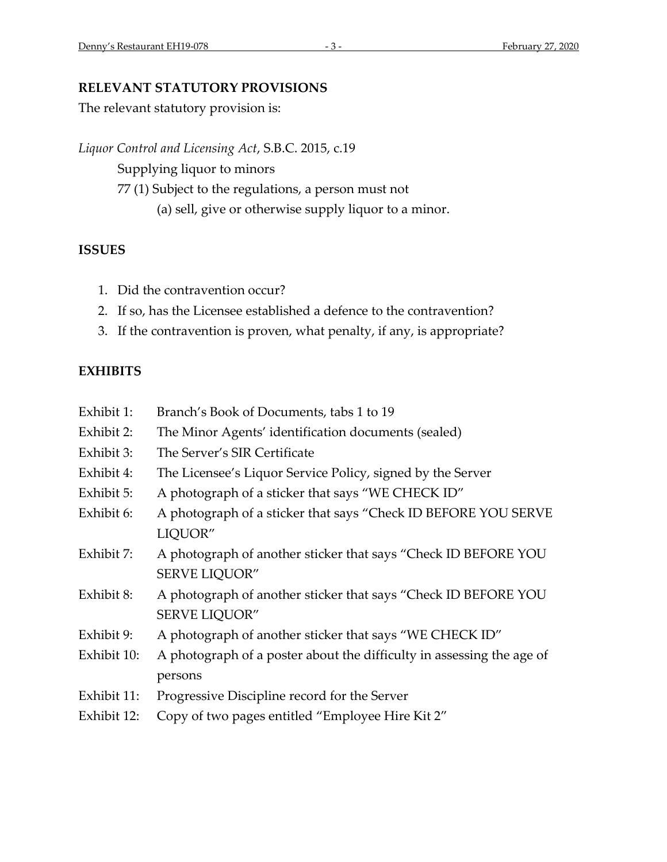# **RELEVANT STATUTORY PROVISIONS**

The relevant statutory provision is:

*Liquor Control and Licensing Act*, S.B.C. 2015, c.19 Supplying liquor to minors 77 (1) Subject to the regulations, a person must not (a) sell, give or otherwise supply liquor to a minor.

# **ISSUES**

- 1. Did the contravention occur?
- 2. If so, has the Licensee established a defence to the contravention?
- 3. If the contravention is proven, what penalty, if any, is appropriate?

# **EXHIBITS**

- Exhibit 1: Branch's Book of Documents, tabs 1 to 19
- Exhibit 2: The Minor Agents' identification documents (sealed)
- Exhibit 3: The Server's SIR Certificate
- Exhibit 4: The Licensee's Liquor Service Policy, signed by the Server
- Exhibit 5: A photograph of a sticker that says "WE CHECK ID"
- Exhibit 6: A photograph of a sticker that says "Check ID BEFORE YOU SERVE LIQUOR"
- Exhibit 7: A photograph of another sticker that says "Check ID BEFORE YOU SERVE LIQUOR"
- Exhibit 8: A photograph of another sticker that says "Check ID BEFORE YOU SERVE LIQUOR"
- Exhibit 9: A photograph of another sticker that says "WE CHECK ID"
- Exhibit 10: A photograph of a poster about the difficulty in assessing the age of persons
- Exhibit 11: Progressive Discipline record for the Server
- Exhibit 12: Copy of two pages entitled "Employee Hire Kit 2"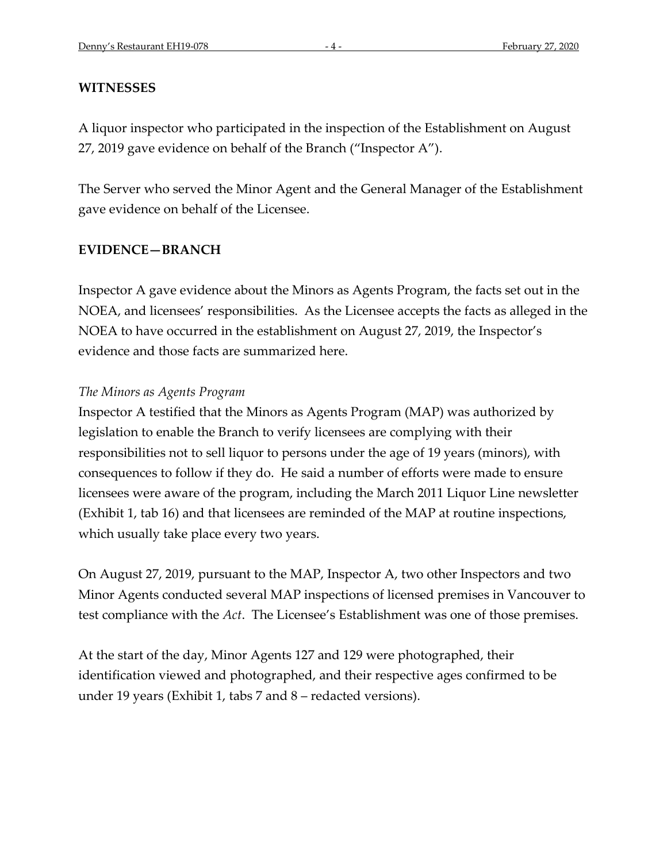#### **WITNESSES**

A liquor inspector who participated in the inspection of the Establishment on August 27, 2019 gave evidence on behalf of the Branch ("Inspector A").

The Server who served the Minor Agent and the General Manager of the Establishment gave evidence on behalf of the Licensee.

# **EVIDENCE—BRANCH**

Inspector A gave evidence about the Minors as Agents Program, the facts set out in the NOEA, and licensees' responsibilities. As the Licensee accepts the facts as alleged in the NOEA to have occurred in the establishment on August 27, 2019, the Inspector's evidence and those facts are summarized here.

#### *The Minors as Agents Program*

Inspector A testified that the Minors as Agents Program (MAP) was authorized by legislation to enable the Branch to verify licensees are complying with their responsibilities not to sell liquor to persons under the age of 19 years (minors), with consequences to follow if they do. He said a number of efforts were made to ensure licensees were aware of the program, including the March 2011 Liquor Line newsletter (Exhibit 1, tab 16) and that licensees are reminded of the MAP at routine inspections, which usually take place every two years.

On August 27, 2019, pursuant to the MAP, Inspector A, two other Inspectors and two Minor Agents conducted several MAP inspections of licensed premises in Vancouver to test compliance with the *Act*. The Licensee's Establishment was one of those premises.

At the start of the day, Minor Agents 127 and 129 were photographed, their identification viewed and photographed, and their respective ages confirmed to be under 19 years (Exhibit 1, tabs 7 and 8 – redacted versions).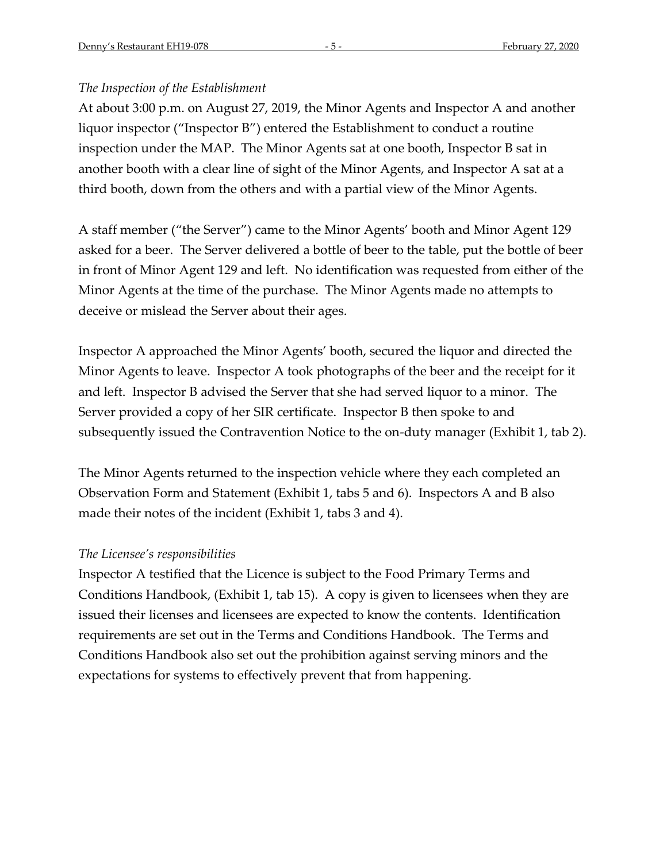### *The Inspection of the Establishment*

At about 3:00 p.m. on August 27, 2019, the Minor Agents and Inspector A and another liquor inspector ("Inspector B") entered the Establishment to conduct a routine inspection under the MAP. The Minor Agents sat at one booth, Inspector B sat in another booth with a clear line of sight of the Minor Agents, and Inspector A sat at a third booth, down from the others and with a partial view of the Minor Agents.

A staff member ("the Server") came to the Minor Agents' booth and Minor Agent 129 asked for a beer. The Server delivered a bottle of beer to the table, put the bottle of beer in front of Minor Agent 129 and left. No identification was requested from either of the Minor Agents at the time of the purchase. The Minor Agents made no attempts to deceive or mislead the Server about their ages.

Inspector A approached the Minor Agents' booth, secured the liquor and directed the Minor Agents to leave. Inspector A took photographs of the beer and the receipt for it and left. Inspector B advised the Server that she had served liquor to a minor. The Server provided a copy of her SIR certificate. Inspector B then spoke to and subsequently issued the Contravention Notice to the on-duty manager (Exhibit 1, tab 2).

The Minor Agents returned to the inspection vehicle where they each completed an Observation Form and Statement (Exhibit 1, tabs 5 and 6). Inspectors A and B also made their notes of the incident (Exhibit 1, tabs 3 and 4).

### *The Licensee's responsibilities*

Inspector A testified that the Licence is subject to the Food Primary Terms and Conditions Handbook, (Exhibit 1, tab 15). A copy is given to licensees when they are issued their licenses and licensees are expected to know the contents. Identification requirements are set out in the Terms and Conditions Handbook. The Terms and Conditions Handbook also set out the prohibition against serving minors and the expectations for systems to effectively prevent that from happening.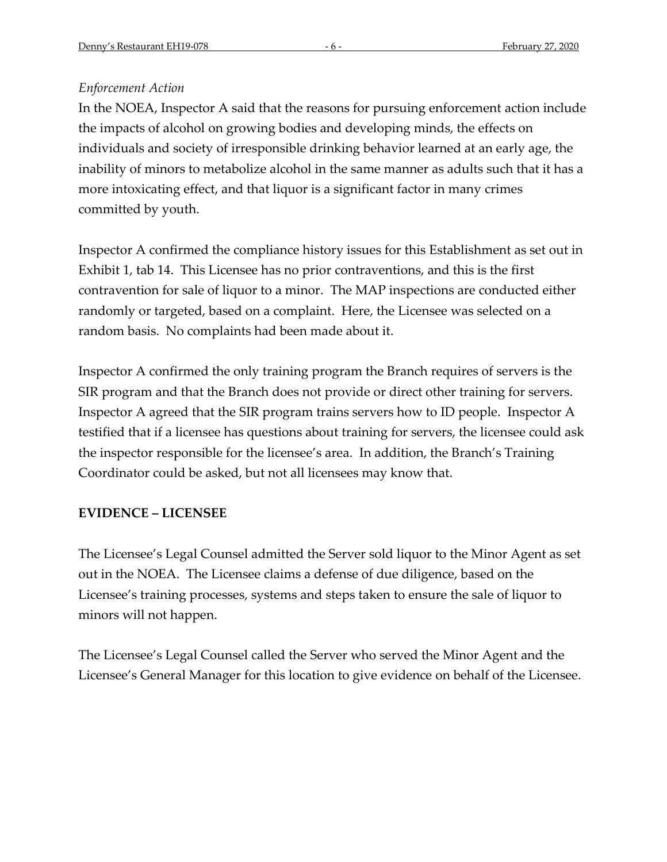# *Enforcement Action*

In the NOEA, Inspector A said that the reasons for pursuing enforcement action include the impacts of alcohol on growing bodies and developing minds, the effects on individuals and society of irresponsible drinking behavior learned at an early age, the inability of minors to metabolize alcohol in the same manner as adults such that it has a more intoxicating effect, and that liquor is a significant factor in many crimes committed by youth.

Inspector A confirmed the compliance history issues for this Establishment as set out in Exhibit 1, tab 14. This Licensee has no prior contraventions, and this is the first contravention for sale of liquor to a minor. The MAP inspections are conducted either randomly or targeted, based on a complaint. Here, the Licensee was selected on a random basis. No complaints had been made about it.

Inspector A confirmed the only training program the Branch requires of servers is the SIR program and that the Branch does not provide or direct other training for servers. Inspector A agreed that the SIR program trains servers how to ID people. Inspector A testified that if a licensee has questions about training for servers, the licensee could ask the inspector responsible for the licensee's area. In addition, the Branch's Training Coordinator could be asked, but not all licensees may know that.

# **EVIDENCE – LICENSEE**

The Licensee's Legal Counsel admitted the Server sold liquor to the Minor Agent as set out in the NOEA. The Licensee claims a defense of due diligence, based on the Licensee's training processes, systems and steps taken to ensure the sale of liquor to minors will not happen.

The Licensee's Legal Counsel called the Server who served the Minor Agent and the Licensee's General Manager for this location to give evidence on behalf of the Licensee.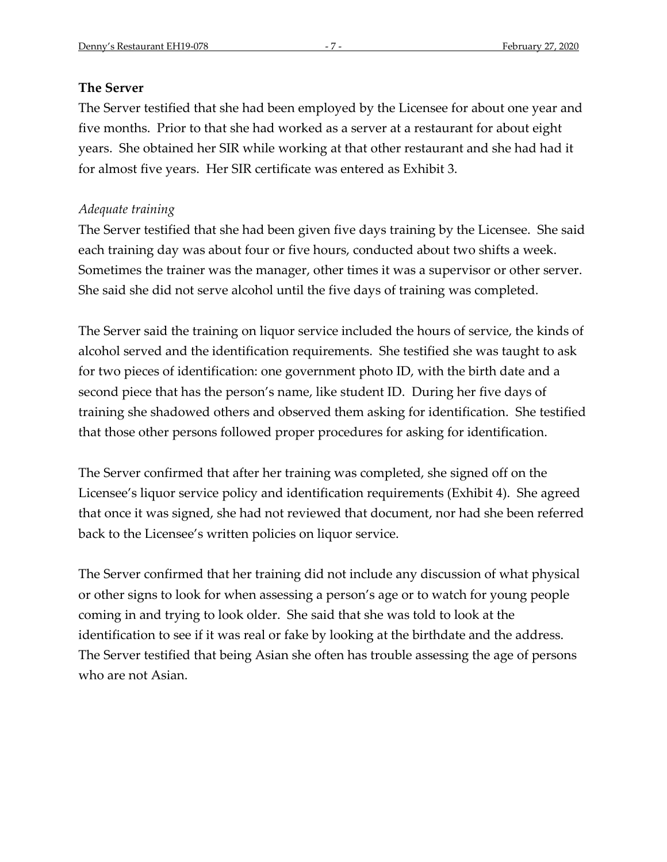#### **The Server**

The Server testified that she had been employed by the Licensee for about one year and five months. Prior to that she had worked as a server at a restaurant for about eight years. She obtained her SIR while working at that other restaurant and she had had it for almost five years. Her SIR certificate was entered as Exhibit 3.

#### *Adequate training*

The Server testified that she had been given five days training by the Licensee. She said each training day was about four or five hours, conducted about two shifts a week. Sometimes the trainer was the manager, other times it was a supervisor or other server. She said she did not serve alcohol until the five days of training was completed.

The Server said the training on liquor service included the hours of service, the kinds of alcohol served and the identification requirements. She testified she was taught to ask for two pieces of identification: one government photo ID, with the birth date and a second piece that has the person's name, like student ID. During her five days of training she shadowed others and observed them asking for identification. She testified that those other persons followed proper procedures for asking for identification.

The Server confirmed that after her training was completed, she signed off on the Licensee's liquor service policy and identification requirements (Exhibit 4). She agreed that once it was signed, she had not reviewed that document, nor had she been referred back to the Licensee's written policies on liquor service.

The Server confirmed that her training did not include any discussion of what physical or other signs to look for when assessing a person's age or to watch for young people coming in and trying to look older. She said that she was told to look at the identification to see if it was real or fake by looking at the birthdate and the address. The Server testified that being Asian she often has trouble assessing the age of persons who are not Asian.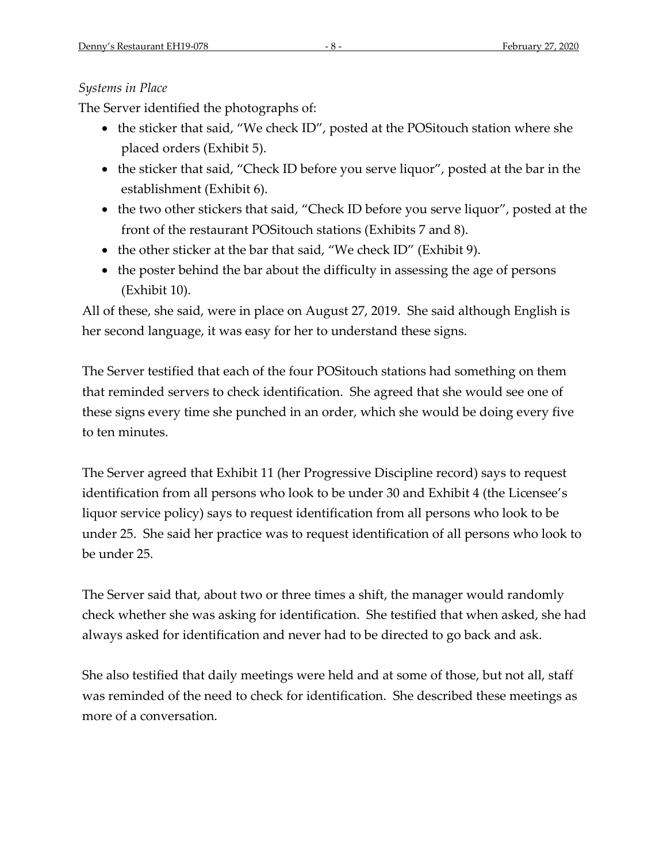# *Systems in Place*

The Server identified the photographs of:

- the sticker that said, "We check ID", posted at the POSitouch station where she placed orders (Exhibit 5).
- the sticker that said, "Check ID before you serve liquor", posted at the bar in the establishment (Exhibit 6).
- the two other stickers that said, "Check ID before you serve liquor", posted at the front of the restaurant POSitouch stations (Exhibits 7 and 8).
- the other sticker at the bar that said, "We check ID" (Exhibit 9).
- the poster behind the bar about the difficulty in assessing the age of persons (Exhibit 10).

All of these, she said, were in place on August 27, 2019. She said although English is her second language, it was easy for her to understand these signs.

The Server testified that each of the four POSitouch stations had something on them that reminded servers to check identification. She agreed that she would see one of these signs every time she punched in an order, which she would be doing every five to ten minutes.

The Server agreed that Exhibit 11 (her Progressive Discipline record) says to request identification from all persons who look to be under 30 and Exhibit 4 (the Licensee's liquor service policy) says to request identification from all persons who look to be under 25. She said her practice was to request identification of all persons who look to be under 25.

The Server said that, about two or three times a shift, the manager would randomly check whether she was asking for identification. She testified that when asked, she had always asked for identification and never had to be directed to go back and ask.

She also testified that daily meetings were held and at some of those, but not all, staff was reminded of the need to check for identification. She described these meetings as more of a conversation.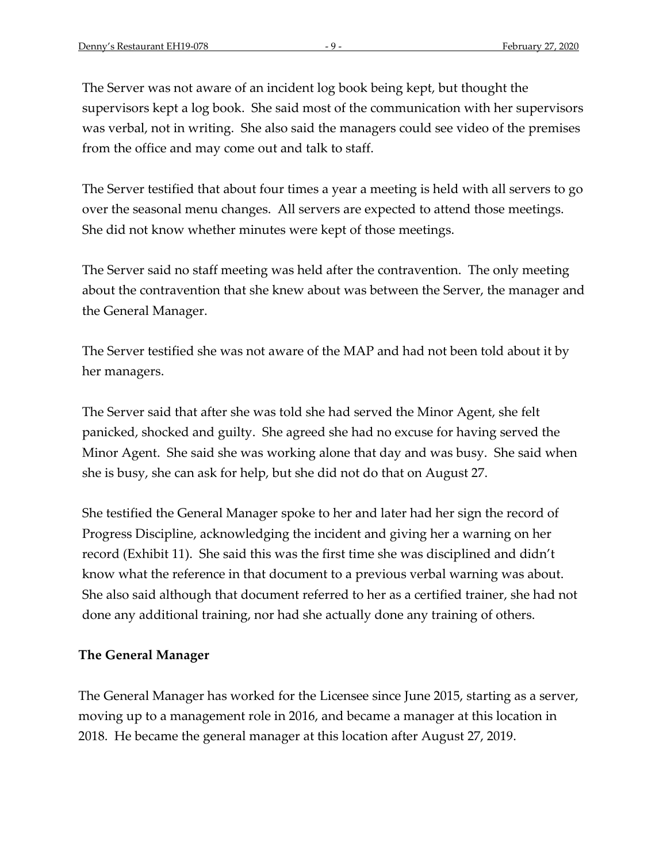The Server was not aware of an incident log book being kept, but thought the supervisors kept a log book. She said most of the communication with her supervisors was verbal, not in writing. She also said the managers could see video of the premises from the office and may come out and talk to staff.

The Server testified that about four times a year a meeting is held with all servers to go over the seasonal menu changes. All servers are expected to attend those meetings. She did not know whether minutes were kept of those meetings.

The Server said no staff meeting was held after the contravention. The only meeting about the contravention that she knew about was between the Server, the manager and the General Manager.

The Server testified she was not aware of the MAP and had not been told about it by her managers.

The Server said that after she was told she had served the Minor Agent, she felt panicked, shocked and guilty. She agreed she had no excuse for having served the Minor Agent. She said she was working alone that day and was busy. She said when she is busy, she can ask for help, but she did not do that on August 27.

She testified the General Manager spoke to her and later had her sign the record of Progress Discipline, acknowledging the incident and giving her a warning on her record (Exhibit 11). She said this was the first time she was disciplined and didn't know what the reference in that document to a previous verbal warning was about. She also said although that document referred to her as a certified trainer, she had not done any additional training, nor had she actually done any training of others.

### **The General Manager**

The General Manager has worked for the Licensee since June 2015, starting as a server, moving up to a management role in 2016, and became a manager at this location in 2018. He became the general manager at this location after August 27, 2019.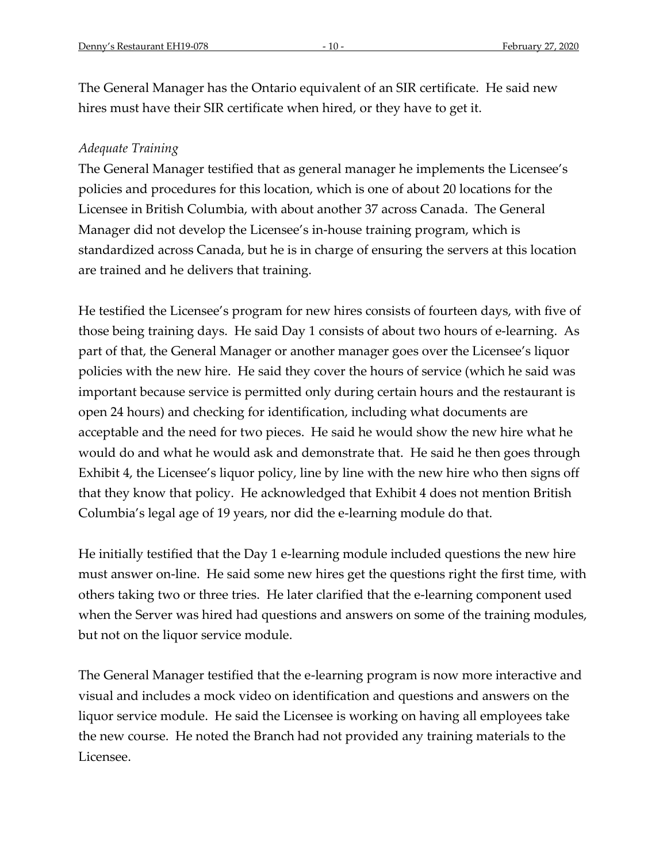The General Manager has the Ontario equivalent of an SIR certificate. He said new hires must have their SIR certificate when hired, or they have to get it.

#### *Adequate Training*

The General Manager testified that as general manager he implements the Licensee's policies and procedures for this location, which is one of about 20 locations for the Licensee in British Columbia, with about another 37 across Canada. The General Manager did not develop the Licensee's in-house training program, which is standardized across Canada, but he is in charge of ensuring the servers at this location are trained and he delivers that training.

He testified the Licensee's program for new hires consists of fourteen days, with five of those being training days. He said Day 1 consists of about two hours of e-learning. As part of that, the General Manager or another manager goes over the Licensee's liquor policies with the new hire. He said they cover the hours of service (which he said was important because service is permitted only during certain hours and the restaurant is open 24 hours) and checking for identification, including what documents are acceptable and the need for two pieces. He said he would show the new hire what he would do and what he would ask and demonstrate that. He said he then goes through Exhibit 4, the Licensee's liquor policy, line by line with the new hire who then signs off that they know that policy. He acknowledged that Exhibit 4 does not mention British Columbia's legal age of 19 years, nor did the e-learning module do that.

He initially testified that the Day 1 e-learning module included questions the new hire must answer on-line. He said some new hires get the questions right the first time, with others taking two or three tries. He later clarified that the e-learning component used when the Server was hired had questions and answers on some of the training modules, but not on the liquor service module.

The General Manager testified that the e-learning program is now more interactive and visual and includes a mock video on identification and questions and answers on the liquor service module. He said the Licensee is working on having all employees take the new course. He noted the Branch had not provided any training materials to the Licensee.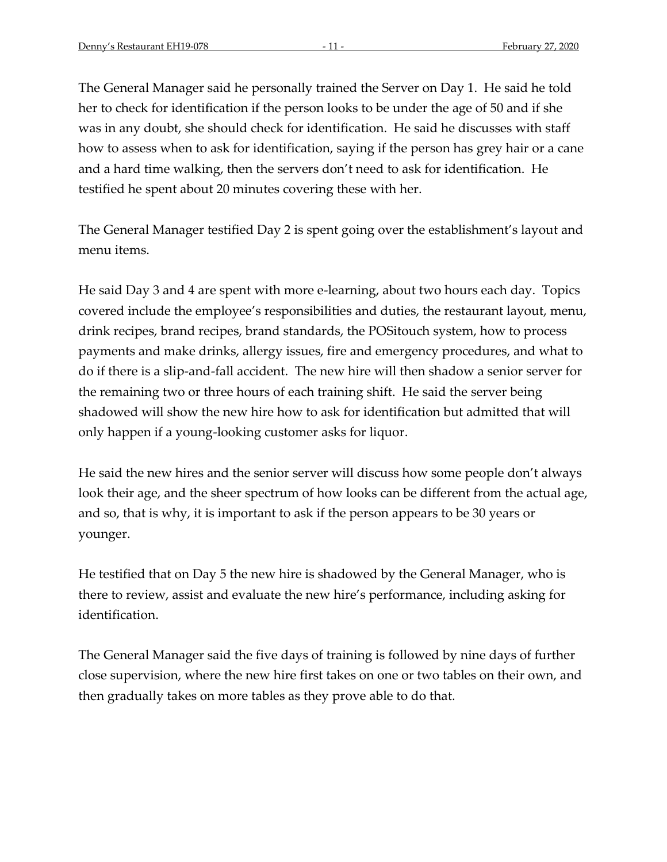The General Manager said he personally trained the Server on Day 1. He said he told her to check for identification if the person looks to be under the age of 50 and if she was in any doubt, she should check for identification. He said he discusses with staff how to assess when to ask for identification, saying if the person has grey hair or a cane and a hard time walking, then the servers don't need to ask for identification. He testified he spent about 20 minutes covering these with her.

The General Manager testified Day 2 is spent going over the establishment's layout and menu items.

He said Day 3 and 4 are spent with more e-learning, about two hours each day. Topics covered include the employee's responsibilities and duties, the restaurant layout, menu, drink recipes, brand recipes, brand standards, the POSitouch system, how to process payments and make drinks, allergy issues, fire and emergency procedures, and what to do if there is a slip-and-fall accident. The new hire will then shadow a senior server for the remaining two or three hours of each training shift. He said the server being shadowed will show the new hire how to ask for identification but admitted that will only happen if a young-looking customer asks for liquor.

He said the new hires and the senior server will discuss how some people don't always look their age, and the sheer spectrum of how looks can be different from the actual age, and so, that is why, it is important to ask if the person appears to be 30 years or younger.

He testified that on Day 5 the new hire is shadowed by the General Manager, who is there to review, assist and evaluate the new hire's performance, including asking for identification.

The General Manager said the five days of training is followed by nine days of further close supervision, where the new hire first takes on one or two tables on their own, and then gradually takes on more tables as they prove able to do that.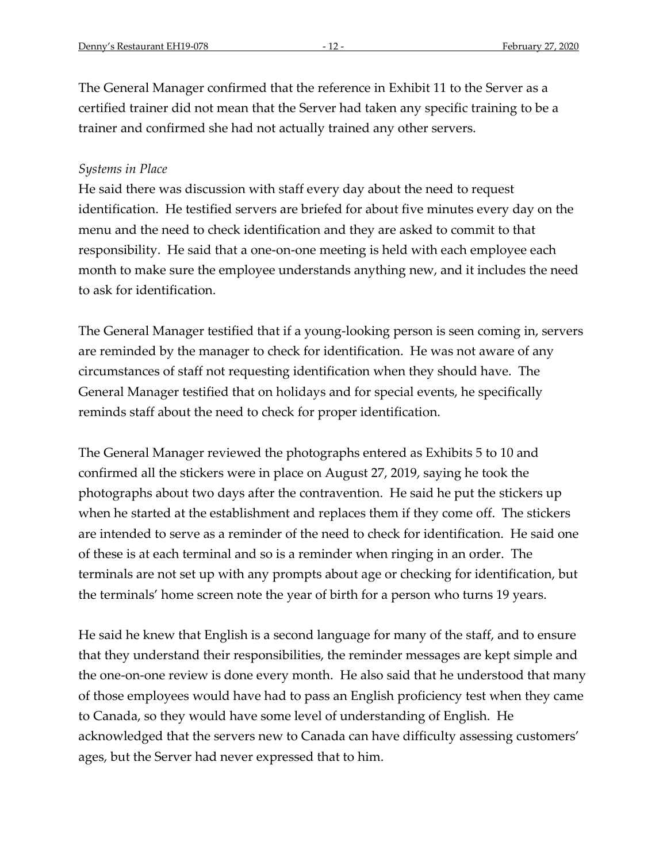The General Manager confirmed that the reference in Exhibit 11 to the Server as a certified trainer did not mean that the Server had taken any specific training to be a trainer and confirmed she had not actually trained any other servers.

#### *Systems in Place*

He said there was discussion with staff every day about the need to request identification. He testified servers are briefed for about five minutes every day on the menu and the need to check identification and they are asked to commit to that responsibility. He said that a one-on-one meeting is held with each employee each month to make sure the employee understands anything new, and it includes the need to ask for identification.

The General Manager testified that if a young-looking person is seen coming in, servers are reminded by the manager to check for identification. He was not aware of any circumstances of staff not requesting identification when they should have. The General Manager testified that on holidays and for special events, he specifically reminds staff about the need to check for proper identification.

The General Manager reviewed the photographs entered as Exhibits 5 to 10 and confirmed all the stickers were in place on August 27, 2019, saying he took the photographs about two days after the contravention. He said he put the stickers up when he started at the establishment and replaces them if they come off. The stickers are intended to serve as a reminder of the need to check for identification. He said one of these is at each terminal and so is a reminder when ringing in an order. The terminals are not set up with any prompts about age or checking for identification, but the terminals' home screen note the year of birth for a person who turns 19 years.

He said he knew that English is a second language for many of the staff, and to ensure that they understand their responsibilities, the reminder messages are kept simple and the one-on-one review is done every month. He also said that he understood that many of those employees would have had to pass an English proficiency test when they came to Canada, so they would have some level of understanding of English. He acknowledged that the servers new to Canada can have difficulty assessing customers' ages, but the Server had never expressed that to him.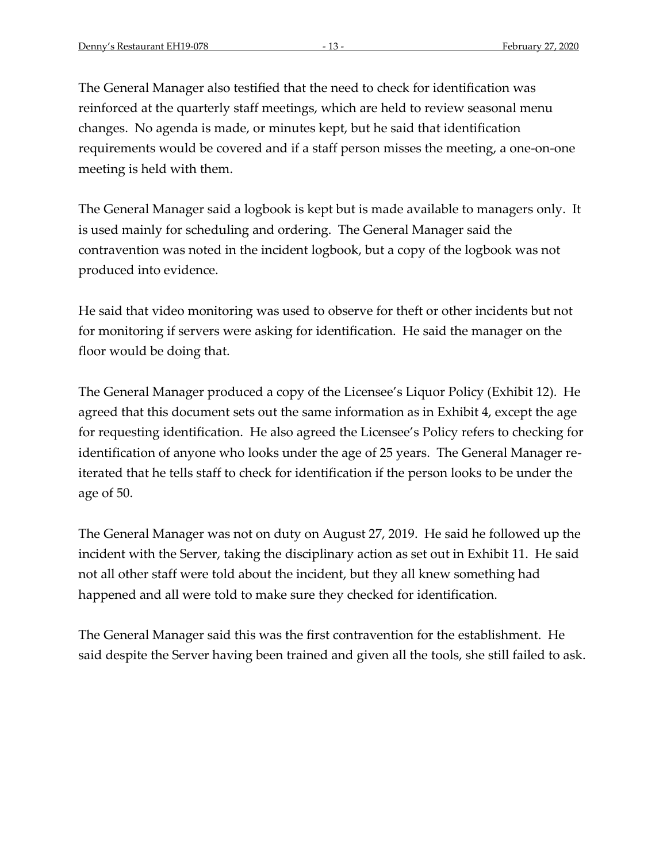The General Manager also testified that the need to check for identification was reinforced at the quarterly staff meetings, which are held to review seasonal menu changes. No agenda is made, or minutes kept, but he said that identification requirements would be covered and if a staff person misses the meeting, a one-on-one meeting is held with them.

The General Manager said a logbook is kept but is made available to managers only. It is used mainly for scheduling and ordering. The General Manager said the contravention was noted in the incident logbook, but a copy of the logbook was not produced into evidence.

He said that video monitoring was used to observe for theft or other incidents but not for monitoring if servers were asking for identification. He said the manager on the floor would be doing that.

The General Manager produced a copy of the Licensee's Liquor Policy (Exhibit 12). He agreed that this document sets out the same information as in Exhibit 4, except the age for requesting identification. He also agreed the Licensee's Policy refers to checking for identification of anyone who looks under the age of 25 years. The General Manager reiterated that he tells staff to check for identification if the person looks to be under the age of 50.

The General Manager was not on duty on August 27, 2019. He said he followed up the incident with the Server, taking the disciplinary action as set out in Exhibit 11. He said not all other staff were told about the incident, but they all knew something had happened and all were told to make sure they checked for identification.

The General Manager said this was the first contravention for the establishment. He said despite the Server having been trained and given all the tools, she still failed to ask.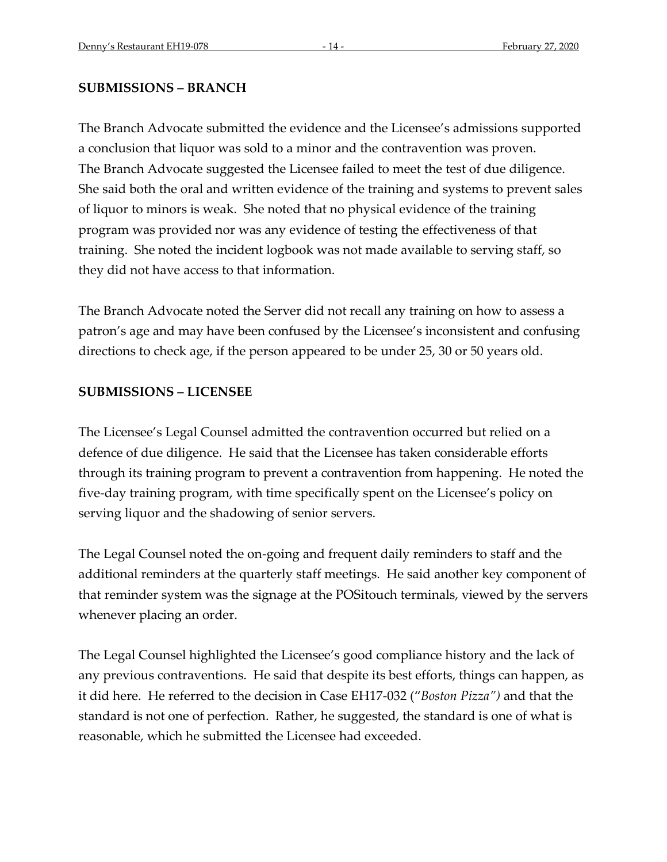#### **SUBMISSIONS – BRANCH**

The Branch Advocate submitted the evidence and the Licensee's admissions supported a conclusion that liquor was sold to a minor and the contravention was proven. The Branch Advocate suggested the Licensee failed to meet the test of due diligence. She said both the oral and written evidence of the training and systems to prevent sales of liquor to minors is weak. She noted that no physical evidence of the training program was provided nor was any evidence of testing the effectiveness of that training. She noted the incident logbook was not made available to serving staff, so they did not have access to that information.

The Branch Advocate noted the Server did not recall any training on how to assess a patron's age and may have been confused by the Licensee's inconsistent and confusing directions to check age, if the person appeared to be under 25, 30 or 50 years old.

### **SUBMISSIONS – LICENSEE**

The Licensee's Legal Counsel admitted the contravention occurred but relied on a defence of due diligence. He said that the Licensee has taken considerable efforts through its training program to prevent a contravention from happening. He noted the five-day training program, with time specifically spent on the Licensee's policy on serving liquor and the shadowing of senior servers.

The Legal Counsel noted the on-going and frequent daily reminders to staff and the additional reminders at the quarterly staff meetings. He said another key component of that reminder system was the signage at the POSitouch terminals, viewed by the servers whenever placing an order.

The Legal Counsel highlighted the Licensee's good compliance history and the lack of any previous contraventions. He said that despite its best efforts, things can happen, as it did here. He referred to the decision in Case EH17-032 ("*Boston Pizza")* and that the standard is not one of perfection. Rather, he suggested, the standard is one of what is reasonable, which he submitted the Licensee had exceeded.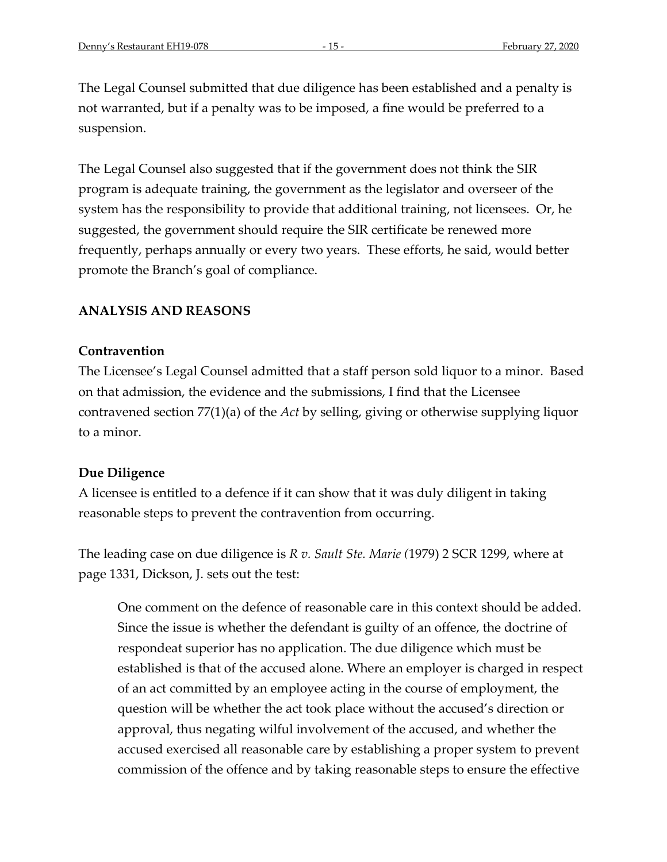The Legal Counsel submitted that due diligence has been established and a penalty is not warranted, but if a penalty was to be imposed, a fine would be preferred to a suspension.

The Legal Counsel also suggested that if the government does not think the SIR program is adequate training, the government as the legislator and overseer of the system has the responsibility to provide that additional training, not licensees. Or, he suggested, the government should require the SIR certificate be renewed more frequently, perhaps annually or every two years. These efforts, he said, would better promote the Branch's goal of compliance.

### **ANALYSIS AND REASONS**

#### **Contravention**

The Licensee's Legal Counsel admitted that a staff person sold liquor to a minor. Based on that admission, the evidence and the submissions, I find that the Licensee contravened section 77(1)(a) of the *Act* by selling, giving or otherwise supplying liquor to a minor.

#### **Due Diligence**

A licensee is entitled to a defence if it can show that it was duly diligent in taking reasonable steps to prevent the contravention from occurring.

The leading case on due diligence is *R v. Sault Ste. Marie (*1979) 2 SCR 1299, where at page 1331, Dickson, J. sets out the test:

One comment on the defence of reasonable care in this context should be added. Since the issue is whether the defendant is guilty of an offence, the doctrine of respondeat superior has no application. The due diligence which must be established is that of the accused alone. Where an employer is charged in respect of an act committed by an employee acting in the course of employment, the question will be whether the act took place without the accused's direction or approval, thus negating wilful involvement of the accused, and whether the accused exercised all reasonable care by establishing a proper system to prevent commission of the offence and by taking reasonable steps to ensure the effective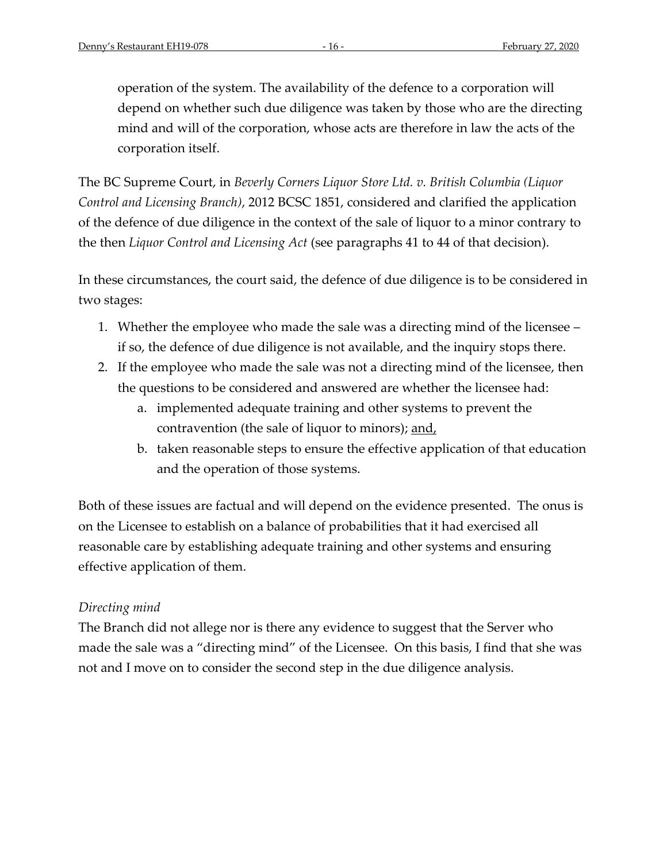operation of the system. The availability of the defence to a corporation will depend on whether such due diligence was taken by those who are the directing mind and will of the corporation, whose acts are therefore in law the acts of the corporation itself.

The BC Supreme Court, in *Beverly Corners Liquor Store Ltd. v. British Columbia (Liquor Control and Licensing Branch)*, 2012 BCSC 1851, considered and clarified the application of the defence of due diligence in the context of the sale of liquor to a minor contrary to the then *Liquor Control and Licensing Act* (see paragraphs 41 to 44 of that decision).

In these circumstances, the court said, the defence of due diligence is to be considered in two stages:

- 1. Whether the employee who made the sale was a directing mind of the licensee if so, the defence of due diligence is not available, and the inquiry stops there.
- 2. If the employee who made the sale was not a directing mind of the licensee, then the questions to be considered and answered are whether the licensee had:
	- a. implemented adequate training and other systems to prevent the contravention (the sale of liquor to minors); and,
	- b. taken reasonable steps to ensure the effective application of that education and the operation of those systems.

Both of these issues are factual and will depend on the evidence presented. The onus is on the Licensee to establish on a balance of probabilities that it had exercised all reasonable care by establishing adequate training and other systems and ensuring effective application of them.

# *Directing mind*

The Branch did not allege nor is there any evidence to suggest that the Server who made the sale was a "directing mind" of the Licensee. On this basis, I find that she was not and I move on to consider the second step in the due diligence analysis.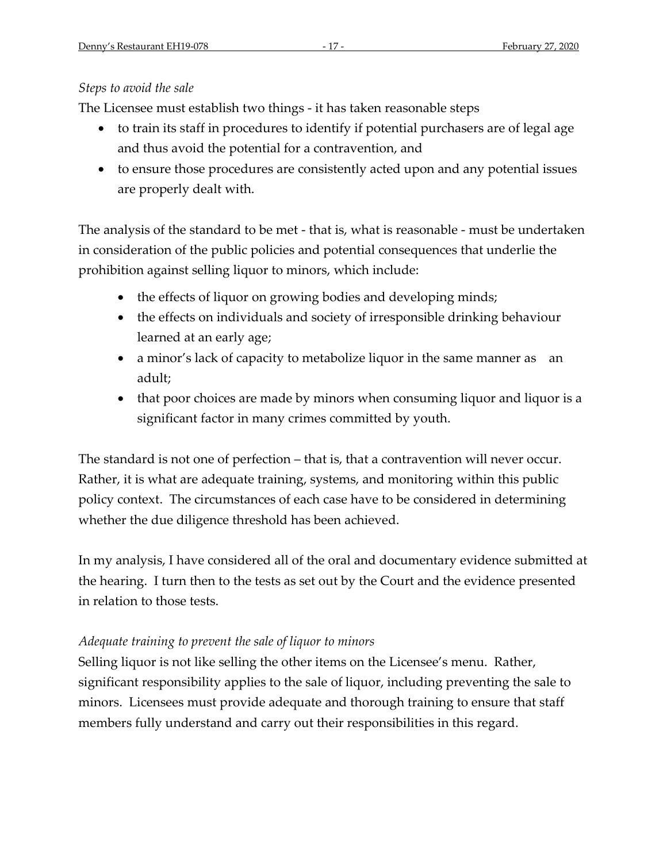# *Steps to avoid the sale*

The Licensee must establish two things - it has taken reasonable steps

- to train its staff in procedures to identify if potential purchasers are of legal age and thus avoid the potential for a contravention, and
- to ensure those procedures are consistently acted upon and any potential issues are properly dealt with.

The analysis of the standard to be met - that is, what is reasonable - must be undertaken in consideration of the public policies and potential consequences that underlie the prohibition against selling liquor to minors, which include:

- the effects of liquor on growing bodies and developing minds;
- the effects on individuals and society of irresponsible drinking behaviour learned at an early age;
- a minor's lack of capacity to metabolize liquor in the same manner as an adult;
- that poor choices are made by minors when consuming liquor and liquor is a significant factor in many crimes committed by youth.

The standard is not one of perfection – that is, that a contravention will never occur. Rather, it is what are adequate training, systems, and monitoring within this public policy context. The circumstances of each case have to be considered in determining whether the due diligence threshold has been achieved.

In my analysis, I have considered all of the oral and documentary evidence submitted at the hearing. I turn then to the tests as set out by the Court and the evidence presented in relation to those tests.

# *Adequate training to prevent the sale of liquor to minors*

Selling liquor is not like selling the other items on the Licensee's menu. Rather, significant responsibility applies to the sale of liquor, including preventing the sale to minors. Licensees must provide adequate and thorough training to ensure that staff members fully understand and carry out their responsibilities in this regard.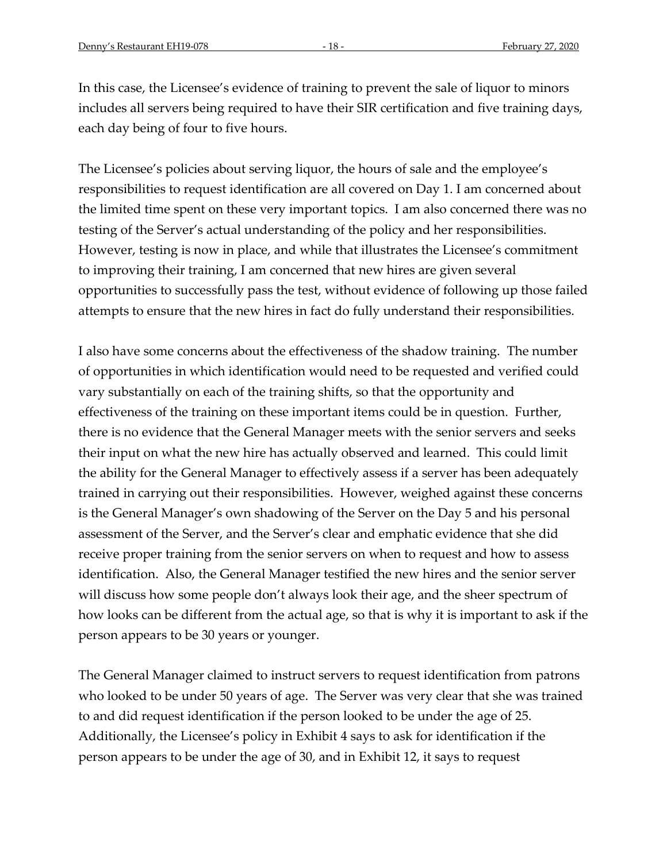In this case, the Licensee's evidence of training to prevent the sale of liquor to minors includes all servers being required to have their SIR certification and five training days, each day being of four to five hours.

The Licensee's policies about serving liquor, the hours of sale and the employee's responsibilities to request identification are all covered on Day 1. I am concerned about the limited time spent on these very important topics. I am also concerned there was no testing of the Server's actual understanding of the policy and her responsibilities. However, testing is now in place, and while that illustrates the Licensee's commitment to improving their training, I am concerned that new hires are given several opportunities to successfully pass the test, without evidence of following up those failed attempts to ensure that the new hires in fact do fully understand their responsibilities.

I also have some concerns about the effectiveness of the shadow training. The number of opportunities in which identification would need to be requested and verified could vary substantially on each of the training shifts, so that the opportunity and effectiveness of the training on these important items could be in question. Further, there is no evidence that the General Manager meets with the senior servers and seeks their input on what the new hire has actually observed and learned. This could limit the ability for the General Manager to effectively assess if a server has been adequately trained in carrying out their responsibilities. However, weighed against these concerns is the General Manager's own shadowing of the Server on the Day 5 and his personal assessment of the Server, and the Server's clear and emphatic evidence that she did receive proper training from the senior servers on when to request and how to assess identification. Also, the General Manager testified the new hires and the senior server will discuss how some people don't always look their age, and the sheer spectrum of how looks can be different from the actual age, so that is why it is important to ask if the person appears to be 30 years or younger.

The General Manager claimed to instruct servers to request identification from patrons who looked to be under 50 years of age. The Server was very clear that she was trained to and did request identification if the person looked to be under the age of 25. Additionally, the Licensee's policy in Exhibit 4 says to ask for identification if the person appears to be under the age of 30, and in Exhibit 12, it says to request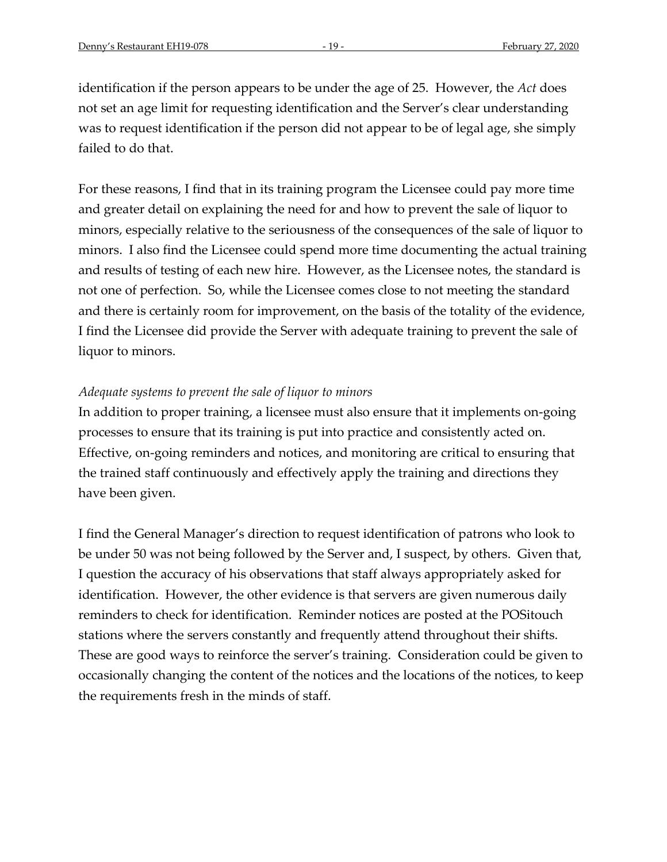identification if the person appears to be under the age of 25. However, the *Act* does not set an age limit for requesting identification and the Server's clear understanding was to request identification if the person did not appear to be of legal age, she simply failed to do that.

For these reasons, I find that in its training program the Licensee could pay more time and greater detail on explaining the need for and how to prevent the sale of liquor to minors, especially relative to the seriousness of the consequences of the sale of liquor to minors. I also find the Licensee could spend more time documenting the actual training and results of testing of each new hire. However, as the Licensee notes, the standard is not one of perfection. So, while the Licensee comes close to not meeting the standard and there is certainly room for improvement, on the basis of the totality of the evidence, I find the Licensee did provide the Server with adequate training to prevent the sale of liquor to minors.

#### *Adequate systems to prevent the sale of liquor to minors*

In addition to proper training, a licensee must also ensure that it implements on-going processes to ensure that its training is put into practice and consistently acted on. Effective, on-going reminders and notices, and monitoring are critical to ensuring that the trained staff continuously and effectively apply the training and directions they have been given.

I find the General Manager's direction to request identification of patrons who look to be under 50 was not being followed by the Server and, I suspect, by others. Given that, I question the accuracy of his observations that staff always appropriately asked for identification. However, the other evidence is that servers are given numerous daily reminders to check for identification. Reminder notices are posted at the POSitouch stations where the servers constantly and frequently attend throughout their shifts. These are good ways to reinforce the server's training. Consideration could be given to occasionally changing the content of the notices and the locations of the notices, to keep the requirements fresh in the minds of staff.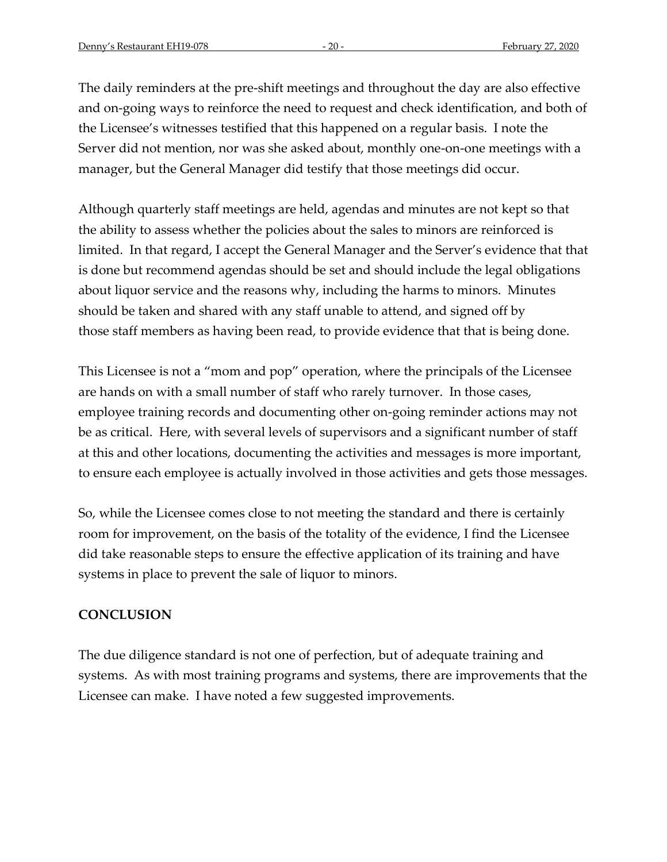The daily reminders at the pre-shift meetings and throughout the day are also effective and on-going ways to reinforce the need to request and check identification, and both of the Licensee's witnesses testified that this happened on a regular basis. I note the Server did not mention, nor was she asked about, monthly one-on-one meetings with a manager, but the General Manager did testify that those meetings did occur.

Although quarterly staff meetings are held, agendas and minutes are not kept so that the ability to assess whether the policies about the sales to minors are reinforced is limited. In that regard, I accept the General Manager and the Server's evidence that that is done but recommend agendas should be set and should include the legal obligations about liquor service and the reasons why, including the harms to minors. Minutes should be taken and shared with any staff unable to attend, and signed off by those staff members as having been read, to provide evidence that that is being done.

This Licensee is not a "mom and pop" operation, where the principals of the Licensee are hands on with a small number of staff who rarely turnover. In those cases, employee training records and documenting other on-going reminder actions may not be as critical. Here, with several levels of supervisors and a significant number of staff at this and other locations, documenting the activities and messages is more important, to ensure each employee is actually involved in those activities and gets those messages.

So, while the Licensee comes close to not meeting the standard and there is certainly room for improvement, on the basis of the totality of the evidence, I find the Licensee did take reasonable steps to ensure the effective application of its training and have systems in place to prevent the sale of liquor to minors.

# **CONCLUSION**

The due diligence standard is not one of perfection, but of adequate training and systems. As with most training programs and systems, there are improvements that the Licensee can make. I have noted a few suggested improvements.